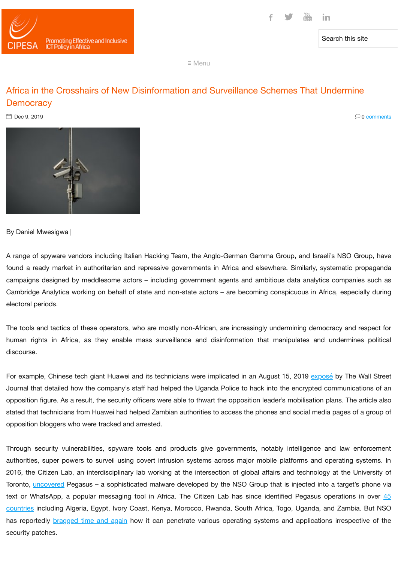

Search this site

≡ Menu

# Africa in the Crosshairs of New Disinformation and Surveillance Schemes That Undermine **Democracy**

 $\Box$  Dec 9, 2019  $\Box$  O comments



By Daniel Mwesigwa |

A range of spyware vendors including Italian Hacking Team, the Anglo-German Gamma Group, and Israeli's NSO Group, have found a ready market in authoritarian and repressive governments in Africa and elsewhere. Similarly, systematic propaganda campaigns designed by meddlesome actors – including government agents and ambitious data analytics companies such as Cambridge Analytica working on behalf of state and non-state actors – are becoming conspicuous in Africa, especially during electoral periods.

The tools and tactics of these operators, who are mostly non-African, are increasingly undermining democracy and respect for human rights in Africa, as they enable mass surveillance and disinformation that manipulates and undermines political discourse.

For example, Chinese tech giant Huawei and its technicians were implicated in an August 15, 2019 [exposé](https://www.wsj.com/articles/huawei-technicians-helped-african-governments-spy-on-political-opponents-11565793017?mod=e2tw) by The Wall Street Journal that detailed how the company's staff had helped the Uganda Police to hack into the encrypted communications of an opposition figure. As a result, the security officers were able to thwart the opposition leader's mobilisation plans. The article also stated that technicians from Huawei had helped Zambian authorities to access the phones and social media pages of a group of opposition bloggers who were tracked and arrested.

Through security vulnerabilities, spyware tools and products give governments, notably intelligence and law enforcement authorities, super powers to surveil using covert intrusion systems across major mobile platforms and operating systems. In 2016, the Citizen Lab, an interdisciplinary lab working at the intersection of global affairs and technology at the University of Toronto, [uncovered](https://www.fastcompany.com/40469864/the-billion-dollar-company-helping-governments-hack-our-phones) Pegasus - a sophisticated malware developed by the NSO Group that is injected into a target's phone via text or WhatsApp, a popular messaging tool in Africa. The Citizen Lab has since identified [Pegasus operations in](https://citizenlab.ca/2018/09/hide-and-seek-tracking-nso-groups-pegasus-spyware-to-operations-in-45-countries/) over 45 countries including Algeria, Egypt, Ivory Coast, Kenya, Morocco, Rwanda, South Africa, Togo, Uganda, and Zambia. But NSO has reportedly [bragged](https://t.co/yXdF0fSkWv?amp=1) time and again how it can penetrate various operating systems and applications irrespective of the security patches.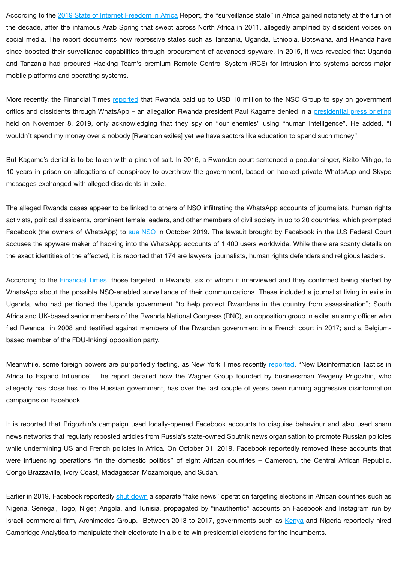According to the 2019 State of Internet [Freedom](https://cipesa.org/fifafrica/wp-content/uploads/2016/05/Collaboration-on-International-ICT-Policy-for-East-and-Southern-Africa-SIFA-19.pdf) in Africa Report, the "surveillance state" in Africa gained notoriety at the turn of the decade, after the infamous Arab Spring that swept across North Africa in 2011, allegedly amplified by dissident voices on social media. The report documents how repressive states such as Tanzania, Uganda, Ethiopia, Botswana, and Rwanda have since boosted their surveillance capabilities through procurement of advanced spyware. In 2015, it was revealed that Uganda and Tanzania had procured Hacking Team's premium Remote Control System (RCS) for intrusion into systems across major mobile platforms and operating systems.

More recently, the Financial Times [reported](https://t.co/yXdF0fSkWv?amp=1) that Rwanda paid up to USD 10 million to the NSO Group to spy on government critics and dissidents through WhatsApp – an allegation Rwanda president Paul Kagame denied in a presidential [press briefing](http://paulkagame.com/?p=14962) held on November 8, 2019, only acknowledging that they spy on "our enemies" using "human intelligence". He added, "I wouldn't spend my money over a nobody [Rwandan exiles] yet we have sectors like education to spend such money".

But Kagame's denial is to be taken with a pinch of salt. In 2016, a Rwandan court sentenced a popular singer, Kizito Mihigo, to 10 years in prison on allegations of conspiracy to overthrow the government, based on hacked private WhatsApp and Skype messages exchanged with alleged dissidents in exile.

The alleged Rwanda cases appear to be linked to others of NSO infiltrating the WhatsApp accounts of journalists, human rights activists, political dissidents, prominent female leaders, and other members of civil society in up to 20 countries, which prompted Facebook (the owners of WhatsApp) to sue [NSO](https://qz.com/1738110/facebook-sues-israels-nso-for-trojan-horse-whatsapp-hack/) in October 2019. The lawsuit brought by Facebook in the U.S Federal Court accuses the spyware maker of hacking into the WhatsApp accounts of 1,400 users worldwide. While there are scanty details on the exact identities of the affected, it is reported that 174 are lawyers, journalists, human rights defenders and religious leaders.

According to the [Financial](https://t.co/yXdF0fSkWv?amp=1) Times, those targeted in Rwanda, six of whom it interviewed and they confirmed being alerted by WhatsApp about the possible NSO-enabled surveillance of their communications. These included a journalist living in exile in Uganda, who had petitioned the Uganda government "to help protect Rwandans in the country from assassination"; South Africa and UK-based senior members of the Rwanda National Congress (RNC), an opposition group in exile; an army officer who fled Rwanda in 2008 and testified against members of the Rwandan government in a French court in 2017; and a Belgiumbased member of the FDU-Inkingi opposition party.

Meanwhile, some foreign powers are purportedly testing, as New York Times recently [reported](https://www.nytimes.com/2019/10/30/technology/russia-facebook-disinformation-africa.html), "New Disinformation Tactics in Africa to Expand Influence". The report detailed how the Wagner Group founded by businessman Yevgeny Prigozhin, who allegedly has close ties to the Russian government, has over the last couple of years been running aggressive disinformation campaigns on Facebook.

It is reported that Prigozhin's campaign used locally-opened Facebook accounts to disguise behaviour and also used sham news networks that regularly reposted articles from Russia's state-owned Sputnik news organisation to promote Russian policies while undermining US and French policies in Africa. On October 31, 2019, Facebook reportedly removed these accounts that were influencing operations "in the domestic politics" of eight African countries – Cameroon, the Central African Republic, Congo Brazzaville, Ivory Coast, Madagascar, Mozambique, and Sudan.

Earlier in 2019, Facebook reportedly shut [down](https://qz.com/africa/1621249/facebook-shuts-down-fake-news-accounts-targeting-africa-elections/) a separate "fake news" operation targeting elections in African countries such as Nigeria, Senegal, Togo, Niger, Angola, and Tunisia, propagated by "inauthentic" accounts on Facebook and Instagram run by Israeli commercial firm, Archimedes Group. Between 2013 to 2017, governments such as [Kenya](https://www.newstatesman.com/world/2018/03/cambridge-analytica-facebook-elections-africa-kenya) and Nigeria reportedly hired Cambridge Analytica to manipulate their electorate in a bid to win presidential elections for the incumbents.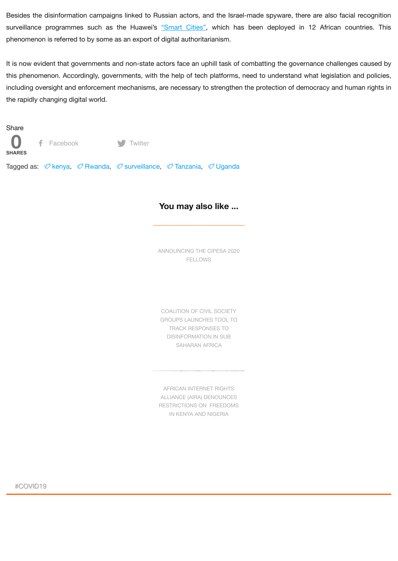Besides the disinformation campaigns linked to Russian actors, and the Israel-made spyware, there are also facial recognition surveillance programmes such as the Huawei's ["Smart](https://csis-prod.s3.amazonaws.com/s3fs-public/191030_HillmanMcCalpin_HuaweiSafeCity_layout_v4.pdf) Cities", which has been deployed in 12 African countries. This phenomenon is referred to by some as an export of digital authoritarianism.

It is now evident that governments and non-state actors face an uphill task of combatting the governance challenges caused by this phenomenon. Accordingly, governments, with the help of tech platforms, need to understand what legislation and policies, including oversight and enforcement mechanisms, are necessary to strengthen the protection of democracy and human rights in the rapidly changing digital world.

Share



Tagged as: *©* [kenya](https://cipesa.org/tag/kenya/), *⊘* [Rwanda,](https://cipesa.org/tag/rwanda/) *⊘* [surveillance](https://cipesa.org/tag/surveillance/), *⊘* [Tanzania](https://cipesa.org/tag/tanzania/), *⊘* [Uganda](https://cipesa.org/tag/uganda/)

## **You may also like ...**

[ANNOUNCING](https://cipesa.org/2020/06/announcing-the-cipesa-2020-fellows/) THE CIPESA 2020 FELLOWS

COALITION OF CIVIL SOCIETY GROUPS LAUNCHES TOOL TO TRACK RESPONSES TO [DISINFORMATION](https://cipesa.org/2020/06/coalition-of-civil-society-groups-launches-tool-to-track-responses-to-disinformation-in-sub-saharan-africa/) IN SUB SAHARAN AFRICA

AFRICAN INTERNET RIGHTS ALLIANCE (AIRA) DENOUNCES [RESTRICTIONS](https://cipesa.org/2020/06/african-internet-rights-alliance-aira-denounces-restrictions-on-freedoms-in-kenya-and-nigeria/) ON FREEDOMS IN KENYA AND NIGERIA

#COVID19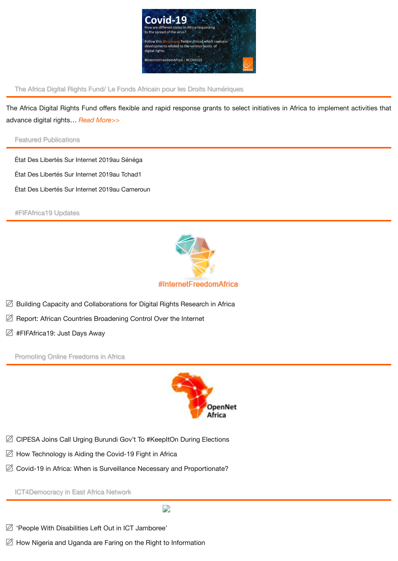

The Africa Digital Rights Fund/ Le Fonds Africain pour les Droits Numériques

The Africa Digital Rights Fund offers flexible and rapid response grants to select initiatives in Africa to implement activities that advance digital rights… *Read [More>>](https://cipesa.org/the-africa-digital-rights-fund-le-fonds-africain-pour-les-droits-numeriques/)*

Featured Publications

État [Des Libertés Sur](https://cipesa.org/?wpfb_dl=347) Internet 2019au Sénéga État [Des Libertés Sur](https://cipesa.org/?wpfb_dl=346) Internet 2019au Tchad1 État [Des Libertés Sur](https://cipesa.org/?wpfb_dl=345) Internet 2019au Cameroun

#FIFAfrica19 Updates



- $\varnothing$  Building Capacity and [Collaborations for](https://cipesa.org/2019/10/building-capacity-and-collaborations-for-digital-rights-research-in-africa/) Digital Rights Research in Africa
- Report: African [Countries Broadening](https://cipesa.org/2019/09/african-countries-broadening-control-over-the-internet-2/) Control Over the Internet
- **2 [#FIFAfrica19:](https://cipesa.org/2019/09/fifafrica19-just-days-way-2/) Just Days Away**

Promoting Online [Freedoms in](https://cipesa.org/category/online-freedoms/) Africa



- CIPESA Joins Call Urging Burundi Gov't To [#KeepItOn](https://cipesa.org/2020/05/cipesa-joins-call-urging-burundi-govt-to-keepiton-during-elections/) During Elections
- How [Technology is Aiding](https://cipesa.org/2020/03/how-technology-is-aiding-the-covid-19-fight-in-africa/) the Covid-19 Fight in Africa
- Covid-19 in Africa: When is Surveillance [Necessary and](https://cipesa.org/2020/03/covid-19-in-africa-when-is-surveillance-necessary-and-proportionate/) Proportionate?

[ICT4Democracy in](https://cipesa.org/category/ict-for-democracy/) East Africa Network

D

- <sup>2</sup> 'People With [Disabilities Left](https://cipesa.org/2019/09/people-with-disabilities-left-out-in-ict-jamboree/) Out in ICT Jamboree'
- $\boxtimes$  How Nigeria and Uganda are Faring on the Right to [Information](https://cipesa.org/2018/11/how-nigeria-and-uganda-are-faring-on-the-right-to-information/)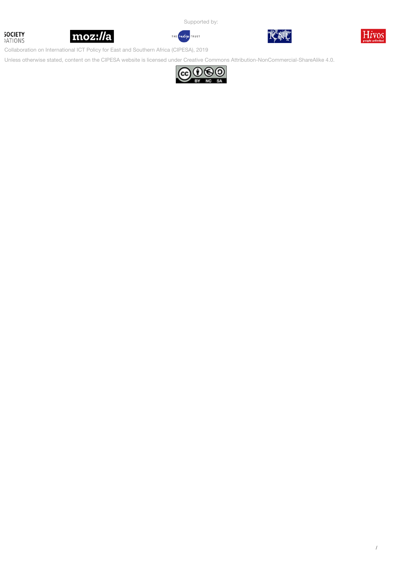**SOCIETY ATIONS** 



Supported by:

ndigo TRUST



Collaboration on International ICT Policy for East and Southern Africa (CIPESA), 2019

Unless otherwise stated, content on the CIPESA website is licensed under Creative [Commons Attribution-NonCommercial-ShareAlike 4.0](https://creativecommons.org/licenses/by-nc-sa/4.0/).

THE